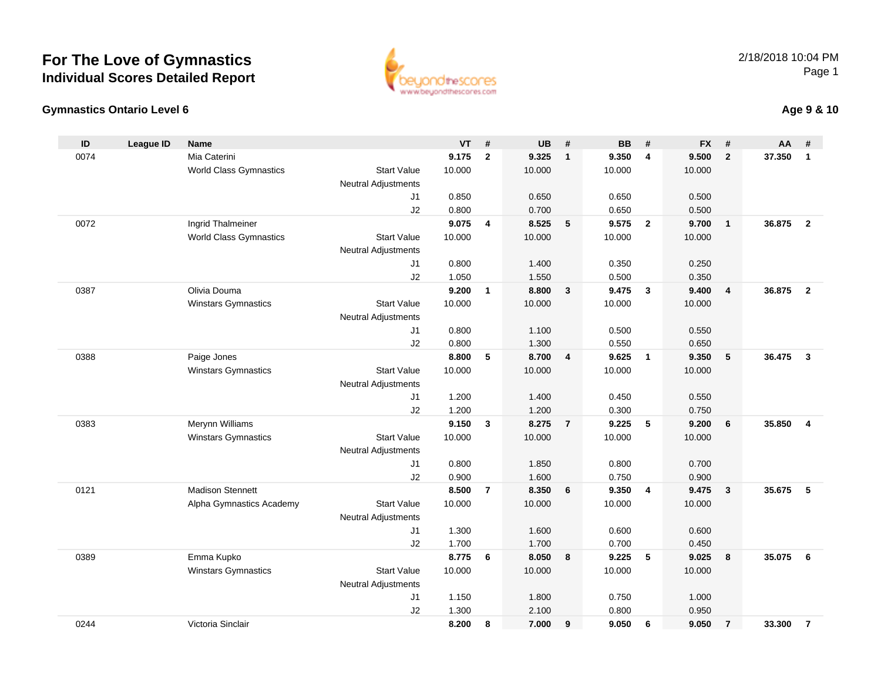

#### **Gymnastics Ontario Level 6**

| ., | Age 9 & 10 |
|----|------------|
|----|------------|

| ID   | <b>League ID</b> | <b>Name</b>                   |                                              | <b>VT</b>      | #              | <b>UB</b> | #              | <b>BB</b> | #                       | <b>FX</b> | #                       | AA     | #                       |
|------|------------------|-------------------------------|----------------------------------------------|----------------|----------------|-----------|----------------|-----------|-------------------------|-----------|-------------------------|--------|-------------------------|
| 0074 |                  | Mia Caterini                  |                                              | 9.175          | $\overline{2}$ | 9.325     | $\overline{1}$ | 9.350     | $\overline{4}$          | 9.500     | $\overline{2}$          | 37.350 | $\mathbf{1}$            |
|      |                  | World Class Gymnastics        | <b>Start Value</b>                           | 10.000         |                | 10.000    |                | 10.000    |                         | 10.000    |                         |        |                         |
|      |                  |                               | <b>Neutral Adjustments</b>                   |                |                |           |                |           |                         |           |                         |        |                         |
|      |                  |                               | J <sub>1</sub>                               | 0.850          |                | 0.650     |                | 0.650     |                         | 0.500     |                         |        |                         |
|      |                  |                               | J2                                           | 0.800          |                | 0.700     |                | 0.650     |                         | 0.500     |                         |        |                         |
| 0072 |                  | Ingrid Thalmeiner             |                                              | 9.075          | $\overline{4}$ | 8.525     | 5              | 9.575     | $\overline{\mathbf{2}}$ | 9.700     | $\overline{1}$          | 36.875 | $\overline{2}$          |
|      |                  | <b>World Class Gymnastics</b> | <b>Start Value</b>                           | 10.000         |                | 10.000    |                | 10.000    |                         | 10.000    |                         |        |                         |
|      |                  |                               | <b>Neutral Adjustments</b>                   |                |                |           |                |           |                         |           |                         |        |                         |
|      |                  |                               | J <sub>1</sub>                               | 0.800          |                | 1.400     |                | 0.350     |                         | 0.250     |                         |        |                         |
|      |                  |                               | J2                                           | 1.050          |                | 1.550     |                | 0.500     |                         | 0.350     |                         |        |                         |
| 0387 |                  | Olivia Douma                  |                                              | 9.200          | $\mathbf{1}$   | 8.800     | $\mathbf{3}$   | 9.475     | $\overline{\mathbf{3}}$ | 9.400     | $\overline{\mathbf{4}}$ | 36.875 | $\overline{2}$          |
|      |                  | <b>Winstars Gymnastics</b>    | <b>Start Value</b>                           | 10.000         |                | 10.000    |                | 10.000    |                         | 10.000    |                         |        |                         |
|      |                  |                               | <b>Neutral Adjustments</b>                   |                |                |           |                |           |                         |           |                         |        |                         |
|      |                  |                               | J1                                           | 0.800          |                | 1.100     |                | 0.500     |                         | 0.550     |                         |        |                         |
|      |                  |                               | J2                                           | 0.800          |                | 1.300     |                | 0.550     |                         | 0.650     |                         |        |                         |
| 0388 |                  | Paige Jones                   |                                              | 8.800          | 5              | 8.700     | $\overline{4}$ | 9.625     | $\overline{1}$          | 9.350     | 5                       | 36.475 | $\mathbf{3}$            |
|      |                  | <b>Winstars Gymnastics</b>    | <b>Start Value</b>                           | 10.000         |                | 10.000    |                | 10.000    |                         | 10.000    |                         |        |                         |
|      |                  |                               | <b>Neutral Adjustments</b>                   |                |                |           |                |           |                         |           |                         |        |                         |
|      |                  |                               | J <sub>1</sub>                               | 1.200          |                | 1.400     |                | 0.450     |                         | 0.550     |                         |        |                         |
|      |                  |                               | J2                                           | 1.200          |                | 1.200     |                | 0.300     |                         | 0.750     |                         |        |                         |
| 0383 |                  | Merynn Williams               |                                              | 9.150          | $\mathbf{3}$   | 8.275     | $\overline{7}$ | 9.225     | 5                       | 9.200     | 6                       | 35.850 | $\overline{\mathbf{4}}$ |
|      |                  | <b>Winstars Gymnastics</b>    | <b>Start Value</b>                           | 10.000         |                | 10.000    |                | 10.000    |                         | 10.000    |                         |        |                         |
|      |                  |                               | <b>Neutral Adjustments</b>                   |                |                |           |                |           |                         |           |                         |        |                         |
|      |                  |                               | J <sub>1</sub>                               | 0.800          |                | 1.850     |                | 0.800     |                         | 0.700     |                         |        |                         |
|      |                  |                               | J2                                           | 0.900          |                | 1.600     |                | 0.750     |                         | 0.900     |                         |        |                         |
| 0121 |                  | <b>Madison Stennett</b>       |                                              | 8.500          | $\overline{7}$ | 8.350     | 6              | 9.350     | $\overline{4}$          | 9.475     | $\mathbf{3}$            | 35.675 | 5                       |
|      |                  | Alpha Gymnastics Academy      | <b>Start Value</b>                           | 10.000         |                | 10.000    |                | 10.000    |                         | 10.000    |                         |        |                         |
|      |                  |                               | <b>Neutral Adjustments</b>                   |                |                |           |                |           |                         |           |                         |        |                         |
|      |                  |                               | J <sub>1</sub>                               | 1.300          |                | 1.600     |                | 0.600     |                         | 0.600     |                         |        |                         |
|      |                  |                               | J2                                           | 1.700<br>8.775 |                | 1.700     |                | 0.700     |                         | 0.450     |                         | 35.075 |                         |
| 0389 |                  | Emma Kupko                    | <b>Start Value</b>                           |                | 6              | 8.050     | 8              | 9.225     | 5                       | 9.025     | 8                       |        | 6                       |
|      |                  | Winstars Gymnastics           |                                              | 10.000         |                | 10.000    |                | 10.000    |                         | 10.000    |                         |        |                         |
|      |                  |                               | <b>Neutral Adjustments</b><br>J <sub>1</sub> | 1.150          |                | 1.800     |                | 0.750     |                         | 1.000     |                         |        |                         |
|      |                  |                               | J2                                           | 1.300          |                | 2.100     |                | 0.800     |                         | 0.950     |                         |        |                         |
| 0244 |                  | Victoria Sinclair             |                                              | 8.200          | 8              | 7.000     | 9              | 9.050     | 6                       | 9.050     | $\overline{7}$          | 33.300 | $\overline{7}$          |
|      |                  |                               |                                              |                |                |           |                |           |                         |           |                         |        |                         |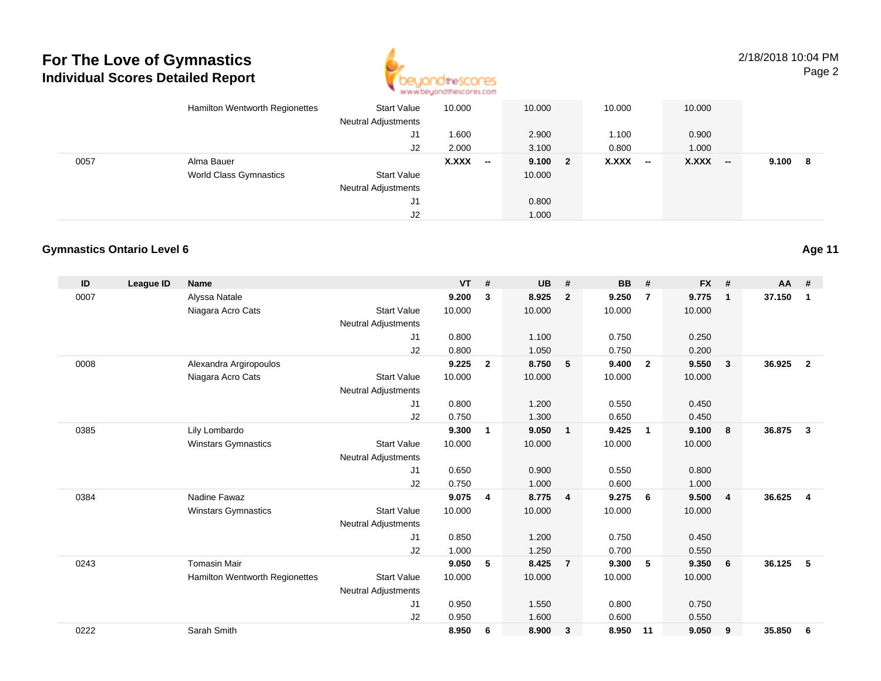

2/18/2018 10:04 PMPage 2

|      | Hamilton Wentworth Regionettes | <b>Start Value</b><br><b>Neutral Adjustments</b> | 10.000 |                          | 10.000  | 10.000 |        | 10.000    |         |  |
|------|--------------------------------|--------------------------------------------------|--------|--------------------------|---------|--------|--------|-----------|---------|--|
|      |                                | J1                                               | 1.600  |                          | 2.900   | 1.100  |        | 0.900     |         |  |
|      |                                | J2                                               | 2.000  |                          | 3.100   | 0.800  |        | 1.000     |         |  |
| 0057 | Alma Bauer                     |                                                  | X.XXX  | $\overline{\phantom{a}}$ | 9.100 2 | X.XXX  | $\sim$ | $X.XXX$ - | 9.100 8 |  |
|      | <b>World Class Gymnastics</b>  | <b>Start Value</b>                               |        |                          | 10.000  |        |        |           |         |  |
|      |                                | <b>Neutral Adjustments</b>                       |        |                          |         |        |        |           |         |  |
|      |                                | J1                                               |        |                          | 0.800   |        |        |           |         |  |
|      |                                | J2                                               |        |                          | 1.000   |        |        |           |         |  |

#### **Gymnastics Ontario Level 6**

| ID   | <b>League ID</b> | <b>Name</b>                    |                            | <b>VT</b> | #              | <b>UB</b> | #              | <b>BB</b> | #              | <b>FX</b> | #              | $AA$ # |                         |
|------|------------------|--------------------------------|----------------------------|-----------|----------------|-----------|----------------|-----------|----------------|-----------|----------------|--------|-------------------------|
| 0007 |                  | Alyssa Natale                  |                            | 9.200     | 3              | 8.925     | $\overline{2}$ | 9.250     | $\overline{7}$ | 9.775     | $\mathbf{1}$   | 37.150 | $\mathbf 1$             |
|      |                  | Niagara Acro Cats              | <b>Start Value</b>         | 10.000    |                | 10.000    |                | 10.000    |                | 10.000    |                |        |                         |
|      |                  |                                | <b>Neutral Adjustments</b> |           |                |           |                |           |                |           |                |        |                         |
|      |                  |                                | J1                         | 0.800     |                | 1.100     |                | 0.750     |                | 0.250     |                |        |                         |
|      |                  |                                | J2                         | 0.800     |                | 1.050     |                | 0.750     |                | 0.200     |                |        |                         |
| 0008 |                  | Alexandra Argiropoulos         |                            | 9.225     | $\overline{2}$ | 8.750     | 5              | 9.400     | $\overline{2}$ | 9.550     | 3              | 36.925 | $\overline{2}$          |
|      |                  | Niagara Acro Cats              | <b>Start Value</b>         | 10.000    |                | 10.000    |                | 10.000    |                | 10.000    |                |        |                         |
|      |                  |                                | <b>Neutral Adjustments</b> |           |                |           |                |           |                |           |                |        |                         |
|      |                  |                                | J1                         | 0.800     |                | 1.200     |                | 0.550     |                | 0.450     |                |        |                         |
|      |                  |                                | J2                         | 0.750     |                | 1.300     |                | 0.650     |                | 0.450     |                |        |                         |
| 0385 |                  | Lily Lombardo                  |                            | 9.300     | 1              | 9.050     | $\overline{1}$ | 9.425     | $\mathbf{1}$   | 9.100     | 8              | 36.875 | 3                       |
|      |                  | <b>Winstars Gymnastics</b>     | <b>Start Value</b>         | 10.000    |                | 10.000    |                | 10.000    |                | 10.000    |                |        |                         |
|      |                  |                                | <b>Neutral Adjustments</b> |           |                |           |                |           |                |           |                |        |                         |
|      |                  |                                | J <sub>1</sub>             | 0.650     |                | 0.900     |                | 0.550     |                | 0.800     |                |        |                         |
|      |                  |                                | J2                         | 0.750     |                | 1.000     |                | 0.600     |                | 1.000     |                |        |                         |
| 0384 |                  | Nadine Fawaz                   |                            | 9.075     | 4              | 8.775     | $\overline{4}$ | 9.275     | 6              | 9.500     | $\overline{4}$ | 36.625 | $\overline{\mathbf{4}}$ |
|      |                  | <b>Winstars Gymnastics</b>     | <b>Start Value</b>         | 10.000    |                | 10.000    |                | 10.000    |                | 10.000    |                |        |                         |
|      |                  |                                | <b>Neutral Adjustments</b> |           |                |           |                |           |                |           |                |        |                         |
|      |                  |                                | J1                         | 0.850     |                | 1.200     |                | 0.750     |                | 0.450     |                |        |                         |
|      |                  |                                | J <sub>2</sub>             | 1.000     |                | 1.250     |                | 0.700     |                | 0.550     |                |        |                         |
| 0243 |                  | <b>Tomasin Mair</b>            |                            | 9.050     | 5              | 8.425     | $\overline{7}$ | 9.300     | 5              | 9.350     | 6              | 36.125 | 5                       |
|      |                  | Hamilton Wentworth Regionettes | <b>Start Value</b>         | 10.000    |                | 10.000    |                | 10.000    |                | 10.000    |                |        |                         |
|      |                  |                                | <b>Neutral Adjustments</b> |           |                |           |                |           |                |           |                |        |                         |
|      |                  |                                | J <sub>1</sub>             | 0.950     |                | 1.550     |                | 0.800     |                | 0.750     |                |        |                         |
|      |                  |                                | J <sub>2</sub>             | 0.950     |                | 1.600     |                | 0.600     |                | 0.550     |                |        |                         |
| 0222 |                  | Sarah Smith                    |                            | 8.950     | 6              | 8.900     | 3              | 8.950     | 11             | 9.050     | 9              | 35.850 | 6                       |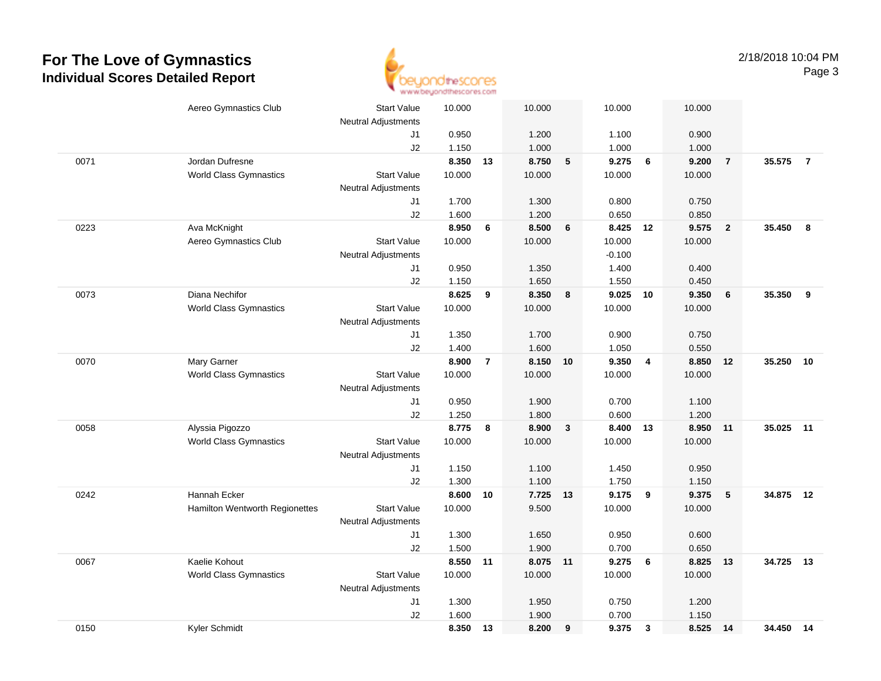

|      | Aereo Gymnastics Club          | <b>Start Value</b>         | 10.000 |                | 10.000   |              | 10.000   |                         | 10.000   |                         |           |                |
|------|--------------------------------|----------------------------|--------|----------------|----------|--------------|----------|-------------------------|----------|-------------------------|-----------|----------------|
|      |                                | <b>Neutral Adjustments</b> |        |                |          |              |          |                         |          |                         |           |                |
|      |                                | J1                         | 0.950  |                | 1.200    |              | 1.100    |                         | 0.900    |                         |           |                |
|      |                                | J2                         | 1.150  |                | 1.000    |              | 1.000    |                         | 1.000    |                         |           |                |
| 0071 | Jordan Dufresne                |                            | 8.350  | 13             | 8.750    | $\sqrt{5}$   | 9.275    | 6                       | 9.200    | $\overline{7}$          | 35.575    | $\overline{7}$ |
|      | <b>World Class Gymnastics</b>  | <b>Start Value</b>         | 10.000 |                | 10.000   |              | 10.000   |                         | 10.000   |                         |           |                |
|      |                                | <b>Neutral Adjustments</b> |        |                |          |              |          |                         |          |                         |           |                |
|      |                                | J1                         | 1.700  |                | 1.300    |              | 0.800    |                         | 0.750    |                         |           |                |
|      |                                | J2                         | 1.600  |                | 1.200    |              | 0.650    |                         | 0.850    |                         |           |                |
| 0223 | Ava McKnight                   |                            | 8.950  | 6              | 8.500    | 6            | 8.425 12 |                         | 9.575    | $\overline{\mathbf{2}}$ | 35.450    | - 8            |
|      | Aereo Gymnastics Club          | <b>Start Value</b>         | 10.000 |                | 10.000   |              | 10.000   |                         | 10.000   |                         |           |                |
|      |                                | <b>Neutral Adjustments</b> |        |                |          |              | $-0.100$ |                         |          |                         |           |                |
|      |                                | J1                         | 0.950  |                | 1.350    |              | 1.400    |                         | 0.400    |                         |           |                |
|      |                                | J2                         | 1.150  |                | 1.650    |              | 1.550    |                         | 0.450    |                         |           |                |
| 0073 | Diana Nechifor                 |                            | 8.625  | 9              | 8.350    | 8            | 9.025    | 10                      | 9.350    | $6\phantom{1}6$         | 35.350    | 9              |
|      | <b>World Class Gymnastics</b>  | <b>Start Value</b>         | 10.000 |                | 10.000   |              | 10.000   |                         | 10.000   |                         |           |                |
|      |                                | <b>Neutral Adjustments</b> |        |                |          |              |          |                         |          |                         |           |                |
|      |                                | J1                         | 1.350  |                | 1.700    |              | 0.900    |                         | 0.750    |                         |           |                |
|      |                                | J2                         | 1.400  |                | 1.600    |              | 1.050    |                         | 0.550    |                         |           |                |
| 0070 | Mary Garner                    |                            | 8.900  | $\overline{7}$ | 8.150    | 10           | 9.350    | $\overline{4}$          | 8.850    | 12                      | 35.250    | 10             |
|      | <b>World Class Gymnastics</b>  | <b>Start Value</b>         | 10.000 |                | 10.000   |              | 10.000   |                         | 10.000   |                         |           |                |
|      |                                | <b>Neutral Adjustments</b> |        |                |          |              |          |                         |          |                         |           |                |
|      |                                | J1                         | 0.950  |                | 1.900    |              | 0.700    |                         | 1.100    |                         |           |                |
|      |                                | J2                         | 1.250  |                | 1.800    |              | 0.600    |                         | 1.200    |                         |           |                |
| 0058 | Alyssia Pigozzo                |                            | 8.775  | 8              | 8.900    | $\mathbf{3}$ | 8.400    | 13                      | 8.950    | 11                      | 35.025    | $-11$          |
|      | <b>World Class Gymnastics</b>  | <b>Start Value</b>         | 10.000 |                | 10.000   |              | 10.000   |                         | 10.000   |                         |           |                |
|      |                                | <b>Neutral Adjustments</b> |        |                |          |              |          |                         |          |                         |           |                |
|      |                                | J1                         | 1.150  |                | 1.100    |              | 1.450    |                         | 0.950    |                         |           |                |
|      |                                | J2                         | 1.300  |                | 1.100    |              | 1.750    |                         | 1.150    |                         |           |                |
| 0242 | Hannah Ecker                   |                            | 8.600  | 10             | 7.725 13 |              | 9.175    | $\overline{\mathbf{9}}$ | 9.375    | $5\phantom{.0}$         | 34.875 12 |                |
|      | Hamilton Wentworth Regionettes | <b>Start Value</b>         | 10.000 |                | 9.500    |              | 10.000   |                         | 10.000   |                         |           |                |
|      |                                | <b>Neutral Adjustments</b> |        |                |          |              |          |                         |          |                         |           |                |
|      |                                | J1                         | 1.300  |                | 1.650    |              | 0.950    |                         | 0.600    |                         |           |                |
|      |                                | J2                         | 1.500  |                | 1.900    |              | 0.700    |                         | 0.650    |                         |           |                |
| 0067 | Kaelie Kohout                  |                            | 8.550  | 11             | 8.075 11 |              | 9.275    | 6                       | 8.825    | 13                      | 34.725    | 13             |
|      | <b>World Class Gymnastics</b>  | <b>Start Value</b>         | 10.000 |                | 10.000   |              | 10.000   |                         | 10.000   |                         |           |                |
|      |                                | <b>Neutral Adjustments</b> |        |                |          |              |          |                         |          |                         |           |                |
|      |                                | J1                         | 1.300  |                | 1.950    |              | 0.750    |                         | 1.200    |                         |           |                |
|      |                                | J2                         | 1.600  |                | 1.900    |              | 0.700    |                         | 1.150    |                         |           |                |
| 0150 | Kyler Schmidt                  |                            | 8.350  | 13             | 8.200    | 9            | 9.375    | $\mathbf{3}$            | 8.525 14 |                         | 34.450 14 |                |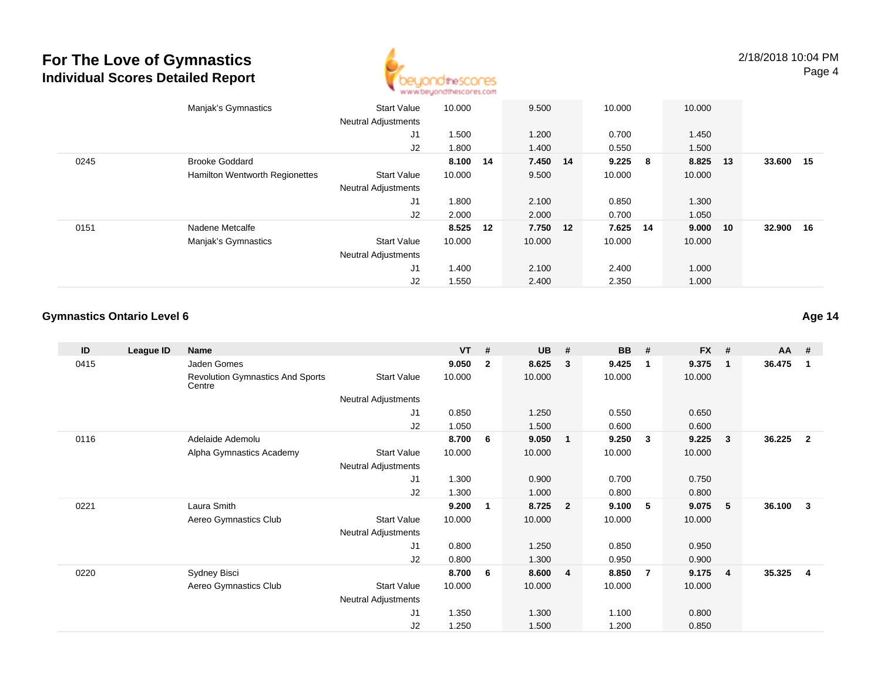

|      | Manjak's Gymnastics            | <b>Start Value</b><br><b>Neutral Adjustments</b> | 10.000   | 9.500    | 10.000   |     | 10.000 |    |           |  |
|------|--------------------------------|--------------------------------------------------|----------|----------|----------|-----|--------|----|-----------|--|
|      |                                | J1                                               | 1.500    | 1.200    | 0.700    |     | 1.450  |    |           |  |
|      |                                | J2                                               | 1.800    | 1.400    | 0.550    |     | 1.500  |    |           |  |
| 0245 | <b>Brooke Goddard</b>          |                                                  | 8.100 14 | 7.450 14 | 9.225    | - 8 | 8.825  | 13 | 33.600 15 |  |
|      | Hamilton Wentworth Regionettes | <b>Start Value</b>                               | 10.000   | 9.500    | 10.000   |     | 10.000 |    |           |  |
|      |                                | <b>Neutral Adjustments</b>                       |          |          |          |     |        |    |           |  |
|      |                                | J1                                               | 1.800    | 2.100    | 0.850    |     | 1.300  |    |           |  |
|      |                                | J2                                               | 2.000    | 2.000    | 0.700    |     | 1.050  |    |           |  |
| 0151 | Nadene Metcalfe                |                                                  | 8.525 12 | 7.750 12 | 7.625 14 |     | 9.000  | 10 | 32.900 16 |  |
|      | Manjak's Gymnastics            | <b>Start Value</b>                               | 10.000   | 10.000   | 10.000   |     | 10.000 |    |           |  |
|      |                                | <b>Neutral Adjustments</b>                       |          |          |          |     |        |    |           |  |
|      |                                | J1                                               | 1.400    | 2.100    | 2.400    |     | 1.000  |    |           |  |
|      |                                | J2                                               | 1.550    | 2.400    | 2.350    |     | 1.000  |    |           |  |

#### **Gymnastics Ontario Level 6**

| ID   | League ID | Name                                              |                            | $VT$ # |                | <b>UB</b> | #              | <b>BB</b> | #              | <b>FX</b> | #               | <b>AA</b> | #                       |
|------|-----------|---------------------------------------------------|----------------------------|--------|----------------|-----------|----------------|-----------|----------------|-----------|-----------------|-----------|-------------------------|
| 0415 |           | Jaden Gomes                                       |                            | 9.050  | $\overline{2}$ | 8.625     | 3              | 9.425     | $\mathbf{1}$   | 9.375     | $\mathbf{1}$    | 36.475    | $\mathbf{1}$            |
|      |           | <b>Revolution Gymnastics And Sports</b><br>Centre | <b>Start Value</b>         | 10.000 |                | 10.000    |                | 10.000    |                | 10.000    |                 |           |                         |
|      |           |                                                   | <b>Neutral Adjustments</b> |        |                |           |                |           |                |           |                 |           |                         |
|      |           |                                                   | J1                         | 0.850  |                | 1.250     |                | 0.550     |                | 0.650     |                 |           |                         |
|      |           |                                                   | J2                         | 1.050  |                | 1.500     |                | 0.600     |                | 0.600     |                 |           |                         |
| 0116 |           | Adelaide Ademolu                                  |                            | 8.700  | 6              | 9.050     | $\mathbf{1}$   | 9.250     | $\mathbf{3}$   | 9.225     | - 3             | 36.225    | $\overline{\mathbf{2}}$ |
|      |           | Alpha Gymnastics Academy                          | <b>Start Value</b>         | 10.000 |                | 10.000    |                | 10.000    |                | 10.000    |                 |           |                         |
|      |           |                                                   | <b>Neutral Adjustments</b> |        |                |           |                |           |                |           |                 |           |                         |
|      |           |                                                   | J1                         | 1.300  |                | 0.900     |                | 0.700     |                | 0.750     |                 |           |                         |
|      |           |                                                   | J2                         | 1.300  |                | 1.000     |                | 0.800     |                | 0.800     |                 |           |                         |
| 0221 |           | Laura Smith                                       |                            | 9.200  | 1              | 8.725     | $\overline{2}$ | 9.100     | 5              | 9.075     | $5\phantom{.0}$ | 36.100    | -3                      |
|      |           | Aereo Gymnastics Club                             | <b>Start Value</b>         | 10.000 |                | 10.000    |                | 10.000    |                | 10.000    |                 |           |                         |
|      |           |                                                   | <b>Neutral Adjustments</b> |        |                |           |                |           |                |           |                 |           |                         |
|      |           |                                                   | J1                         | 0.800  |                | 1.250     |                | 0.850     |                | 0.950     |                 |           |                         |
|      |           |                                                   | J2                         | 0.800  |                | 1.300     |                | 0.950     |                | 0.900     |                 |           |                         |
| 0220 |           | Sydney Bisci                                      |                            | 8.700  | 6              | 8.600     | 4              | 8.850     | $\overline{7}$ | 9.175     | $\overline{4}$  | 35.325    | -4                      |
|      |           | Aereo Gymnastics Club                             | <b>Start Value</b>         | 10.000 |                | 10.000    |                | 10.000    |                | 10.000    |                 |           |                         |
|      |           |                                                   | <b>Neutral Adjustments</b> |        |                |           |                |           |                |           |                 |           |                         |
|      |           |                                                   | J <sub>1</sub>             | 1.350  |                | 1.300     |                | 1.100     |                | 0.800     |                 |           |                         |
|      |           |                                                   | J2                         | 1.250  |                | 1.500     |                | 1.200     |                | 0.850     |                 |           |                         |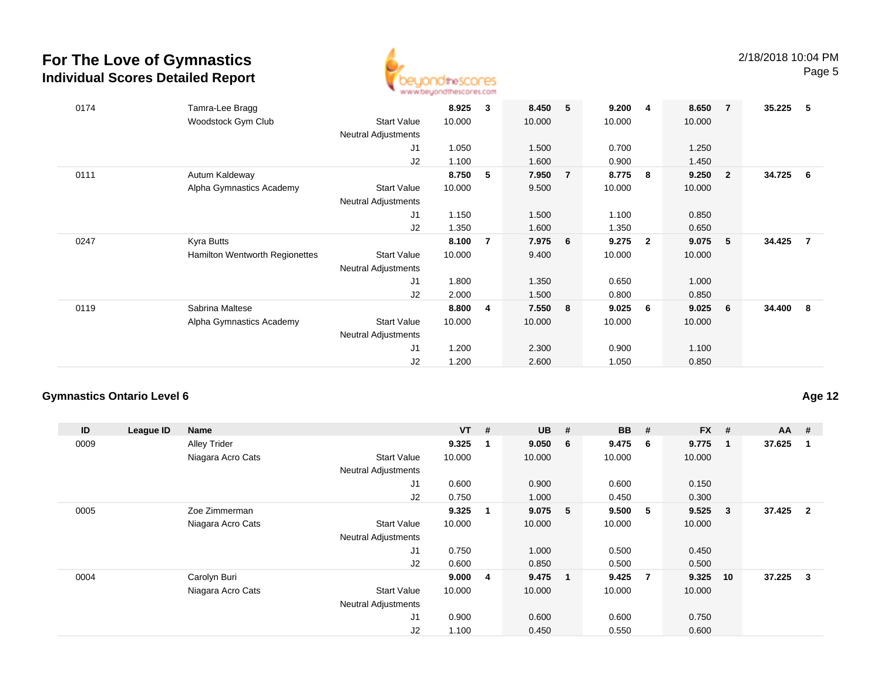

| 0174 | Tamra-Lee Bragg                |                            | 8.925  | 3              | 8.450  | 5              | 9.200  | 4            | 8.650  | $\overline{7}$          | 35.225 | - 5            |
|------|--------------------------------|----------------------------|--------|----------------|--------|----------------|--------|--------------|--------|-------------------------|--------|----------------|
|      | Woodstock Gym Club             | <b>Start Value</b>         | 10.000 |                | 10.000 |                | 10.000 |              | 10.000 |                         |        |                |
|      |                                | <b>Neutral Adjustments</b> |        |                |        |                |        |              |        |                         |        |                |
|      |                                | J1                         | 1.050  |                | 1.500  |                | 0.700  |              | 1.250  |                         |        |                |
|      |                                | J2                         | 1.100  |                | 1.600  |                | 0.900  |              | 1.450  |                         |        |                |
| 0111 | Autum Kaldeway                 |                            | 8.750  | 5              | 7.950  | $\overline{7}$ | 8.775  | 8            | 9.250  | $\overline{\mathbf{2}}$ | 34.725 | 6              |
|      | Alpha Gymnastics Academy       | <b>Start Value</b>         | 10.000 |                | 9.500  |                | 10.000 |              | 10.000 |                         |        |                |
|      |                                | Neutral Adjustments        |        |                |        |                |        |              |        |                         |        |                |
|      |                                | J1                         | 1.150  |                | 1.500  |                | 1.100  |              | 0.850  |                         |        |                |
|      |                                | J2                         | 1.350  |                | 1.600  |                | 1.350  |              | 0.650  |                         |        |                |
| 0247 | Kyra Butts                     |                            | 8.100  | $\overline{7}$ | 7.975  | 6              | 9.275  | $\mathbf{2}$ | 9.075  | - 5                     | 34.425 | $\overline{7}$ |
|      | Hamilton Wentworth Regionettes | <b>Start Value</b>         | 10.000 |                | 9.400  |                | 10.000 |              | 10.000 |                         |        |                |
|      |                                | <b>Neutral Adjustments</b> |        |                |        |                |        |              |        |                         |        |                |
|      |                                | J1                         | 1.800  |                | 1.350  |                | 0.650  |              | 1.000  |                         |        |                |
|      |                                | J2                         | 2.000  |                | 1.500  |                | 0.800  |              | 0.850  |                         |        |                |
| 0119 | Sabrina Maltese                |                            | 8.800  | 4              | 7.550  | 8              | 9.025  | 6            | 9.025  | - 6                     | 34.400 | - 8            |
|      | Alpha Gymnastics Academy       | <b>Start Value</b>         | 10.000 |                | 10.000 |                | 10.000 |              | 10.000 |                         |        |                |
|      |                                | <b>Neutral Adjustments</b> |        |                |        |                |        |              |        |                         |        |                |
|      |                                | J1                         | 1.200  |                | 2.300  |                | 0.900  |              | 1.100  |                         |        |                |
|      |                                | J2                         | 1.200  |                | 2.600  |                | 1.050  |              | 0.850  |                         |        |                |
|      |                                |                            |        |                |        |                |        |              |        |                         |        |                |

#### **Gymnastics Ontario Level 6**

| ID   | League ID | Name                |                            | $VT$ # |             | <b>UB</b> | #              | <b>BB</b> | #   | <b>FX</b> | #            | $AA$ #   |                |
|------|-----------|---------------------|----------------------------|--------|-------------|-----------|----------------|-----------|-----|-----------|--------------|----------|----------------|
| 0009 |           | <b>Alley Trider</b> |                            | 9.325  | $\mathbf 1$ | 9.050     | 6              | 9.475     | - 6 | 9.775     | -1           | 37.625   |                |
|      |           | Niagara Acro Cats   | <b>Start Value</b>         | 10.000 |             | 10.000    |                | 10.000    |     | 10.000    |              |          |                |
|      |           |                     | <b>Neutral Adjustments</b> |        |             |           |                |           |     |           |              |          |                |
|      |           |                     | J1                         | 0.600  |             | 0.900     |                | 0.600     |     | 0.150     |              |          |                |
|      |           |                     | J2                         | 0.750  |             | 1.000     |                | 0.450     |     | 0.300     |              |          |                |
| 0005 |           | Zoe Zimmerman       |                            | 9.325  | $\mathbf 1$ | 9.075     | 5 <sub>2</sub> | 9.500     | - 5 | 9.525     | $\mathbf{3}$ | 37.425   | $\overline{2}$ |
|      |           | Niagara Acro Cats   | <b>Start Value</b>         | 10.000 |             | 10.000    |                | 10.000    |     | 10.000    |              |          |                |
|      |           |                     | <b>Neutral Adjustments</b> |        |             |           |                |           |     |           |              |          |                |
|      |           |                     | J1                         | 0.750  |             | 1.000     |                | 0.500     |     | 0.450     |              |          |                |
|      |           |                     | J2                         | 0.600  |             | 0.850     |                | 0.500     |     | 0.500     |              |          |                |
| 0004 |           | Carolyn Buri        |                            | 9.0004 |             | 9.475     | $\blacksquare$ | 9.425     | -7  | 9.325     | 10           | 37.225 3 |                |
|      |           | Niagara Acro Cats   | <b>Start Value</b>         | 10.000 |             | 10.000    |                | 10.000    |     | 10.000    |              |          |                |
|      |           |                     | <b>Neutral Adjustments</b> |        |             |           |                |           |     |           |              |          |                |
|      |           |                     | J <sub>1</sub>             | 0.900  |             | 0.600     |                | 0.600     |     | 0.750     |              |          |                |
|      |           |                     | J2                         | 1.100  |             | 0.450     |                | 0.550     |     | 0.600     |              |          |                |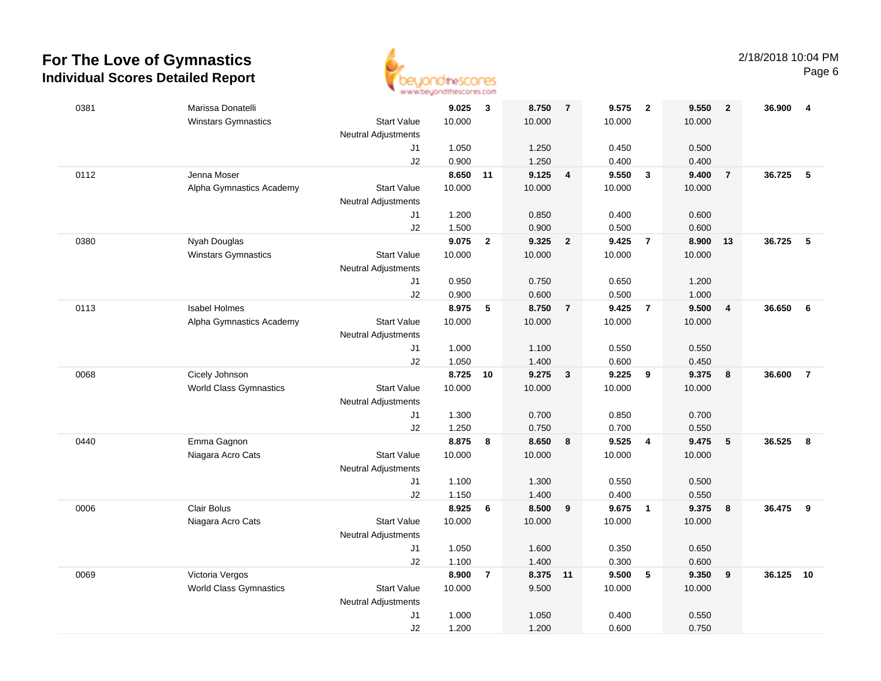

| 0381 | Marissa Donatelli                                           | 9.025           | $\mathbf{3}$   | 8.750             | $\overline{7}$          | 9.575           | $\overline{\mathbf{2}}$ | 9.550          | $\overline{2}$          | 36.900 | $\overline{4}$ |
|------|-------------------------------------------------------------|-----------------|----------------|-------------------|-------------------------|-----------------|-------------------------|----------------|-------------------------|--------|----------------|
|      | Winstars Gymnastics<br><b>Start Value</b>                   | 10.000          |                | 10.000            |                         | 10.000          |                         | 10.000         |                         |        |                |
|      | <b>Neutral Adjustments</b>                                  |                 |                |                   |                         |                 |                         |                |                         |        |                |
|      | J1                                                          | 1.050           |                | 1.250             |                         | 0.450           |                         | 0.500          |                         |        |                |
|      | J2                                                          | 0.900           |                | 1.250             |                         | 0.400           |                         | 0.400          |                         |        |                |
| 0112 | Jenna Moser                                                 | 8.650 11        |                | 9.125             | $\overline{\mathbf{4}}$ | 9.550           | $\overline{\mathbf{3}}$ | 9.400          | $\overline{7}$          | 36.725 | 5              |
|      | Alpha Gymnastics Academy<br><b>Start Value</b>              | 10.000          |                | 10.000            |                         | 10.000          |                         | 10.000         |                         |        |                |
|      | <b>Neutral Adjustments</b>                                  |                 |                |                   |                         |                 |                         |                |                         |        |                |
|      | J1                                                          | 1.200           |                | 0.850             |                         | 0.400           |                         | 0.600          |                         |        |                |
|      | J2                                                          | 1.500<br>9.075  |                | 0.900<br>9.325    |                         | 0.500<br>9.425  | $\overline{7}$          | 0.600<br>8.900 |                         | 36.725 | 5              |
| 0380 | Nyah Douglas<br>Winstars Gymnastics<br><b>Start Value</b>   | 10.000          | $\overline{2}$ | 10.000            | $\overline{2}$          | 10.000          |                         | 10.000         | 13                      |        |                |
|      | <b>Neutral Adjustments</b>                                  |                 |                |                   |                         |                 |                         |                |                         |        |                |
|      | J1                                                          | 0.950           |                | 0.750             |                         | 0.650           |                         | 1.200          |                         |        |                |
|      | J2                                                          | 0.900           |                | 0.600             |                         | 0.500           |                         | 1.000          |                         |        |                |
| 0113 | <b>Isabel Holmes</b>                                        | 8.975           | 5              | 8.750             | $\overline{7}$          | 9.425           | $\overline{7}$          | 9.500          | $\overline{\mathbf{4}}$ | 36.650 | 6              |
|      | Alpha Gymnastics Academy<br><b>Start Value</b>              | 10.000          |                | 10.000            |                         | 10.000          |                         | 10.000         |                         |        |                |
|      | <b>Neutral Adjustments</b>                                  |                 |                |                   |                         |                 |                         |                |                         |        |                |
|      | J1                                                          | 1.000           |                | 1.100             |                         | 0.550           |                         | 0.550          |                         |        |                |
|      | J2                                                          | 1.050           |                | 1.400             |                         | 0.600           |                         | 0.450          |                         |        |                |
| 0068 | Cicely Johnson                                              | 8.725           | 10             | 9.275             | $\mathbf{3}$            | 9.225           | 9                       | 9.375          | 8                       | 36.600 | $\overline{7}$ |
|      | <b>World Class Gymnastics</b><br><b>Start Value</b>         | 10.000          |                | 10.000            |                         | 10.000          |                         | 10.000         |                         |        |                |
|      | <b>Neutral Adjustments</b>                                  |                 |                |                   |                         |                 |                         |                |                         |        |                |
|      | J1                                                          | 1.300           |                | 0.700             |                         | 0.850           |                         | 0.700          |                         |        |                |
|      | J2                                                          | 1.250           |                | 0.750             |                         | 0.700           |                         | 0.550          |                         |        |                |
| 0440 | Emma Gagnon                                                 | 8.875           | 8              | 8.650             | 8                       | 9.525           | $\overline{4}$          | 9.475          | 5                       | 36.525 | 8              |
|      | Niagara Acro Cats<br><b>Start Value</b>                     | 10.000          |                | 10.000            |                         | 10.000          |                         | 10.000         |                         |        |                |
|      | <b>Neutral Adjustments</b>                                  |                 |                |                   |                         |                 |                         |                |                         |        |                |
|      | J1                                                          | 1.100           |                | 1.300             |                         | 0.550           |                         | 0.500          |                         |        |                |
|      | J2                                                          | 1.150           |                | 1.400             |                         | 0.400           |                         | 0.550          |                         |        |                |
| 0006 | Clair Bolus                                                 | 8.925           | 6              | 8.500             | 9                       | 9.675           | $\overline{1}$          | 9.375          | 8                       | 36.475 | 9              |
|      | Niagara Acro Cats<br><b>Start Value</b>                     | 10.000          |                | 10.000            |                         | 10.000          |                         | 10.000         |                         |        |                |
|      | <b>Neutral Adjustments</b>                                  |                 |                |                   |                         |                 |                         |                |                         |        |                |
|      | J1                                                          | 1.050           |                | 1.600             |                         | 0.350           |                         | 0.650          |                         |        |                |
|      | J2                                                          | 1.100           |                | 1.400             |                         | 0.300           |                         | 0.600          |                         |        |                |
| 0069 | Victoria Vergos<br><b>Start Value</b>                       | 8.900<br>10.000 | $\overline{7}$ | 8.375 11<br>9.500 |                         | 9.500<br>10.000 | 5                       | 9.350          | 9                       | 36.125 | 10             |
|      | <b>World Class Gymnastics</b><br><b>Neutral Adjustments</b> |                 |                |                   |                         |                 |                         | 10.000         |                         |        |                |
|      | J1                                                          | 1.000           |                | 1.050             |                         | 0.400           |                         | 0.550          |                         |        |                |
|      | J2                                                          | 1.200           |                | 1.200             |                         | 0.600           |                         | 0.750          |                         |        |                |
|      |                                                             |                 |                |                   |                         |                 |                         |                |                         |        |                |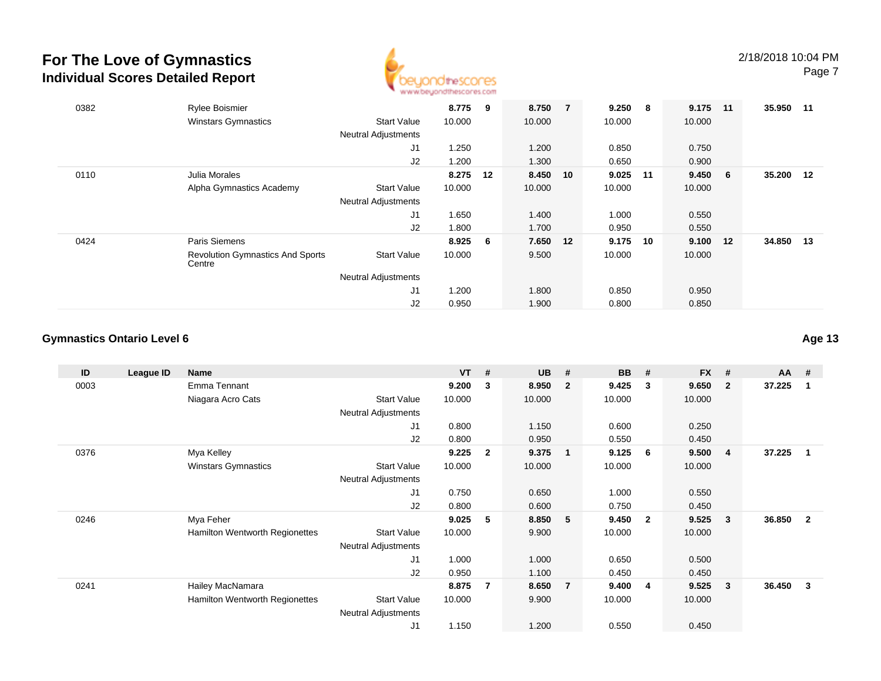

| 0382 | Rylee Boismier                                    |                            | 8.775  | 9   | 8.750 7  | 9.250  | - 8 | 9.175  | 11  | 35.950 11 |    |
|------|---------------------------------------------------|----------------------------|--------|-----|----------|--------|-----|--------|-----|-----------|----|
|      | <b>Winstars Gymnastics</b>                        | <b>Start Value</b>         | 10.000 |     | 10.000   | 10.000 |     | 10.000 |     |           |    |
|      |                                                   | <b>Neutral Adjustments</b> |        |     |          |        |     |        |     |           |    |
|      |                                                   | J1                         | 1.250  |     | 1.200    | 0.850  |     | 0.750  |     |           |    |
|      |                                                   | J2                         | 1.200  |     | 1.300    | 0.650  |     | 0.900  |     |           |    |
| 0110 | Julia Morales                                     |                            | 8.275  | 12  | 8.450 10 | 9.025  | 11  | 9.450  | - 6 | 35.200 12 |    |
|      | Alpha Gymnastics Academy                          | <b>Start Value</b>         | 10.000 |     | 10.000   | 10.000 |     | 10.000 |     |           |    |
|      |                                                   | <b>Neutral Adjustments</b> |        |     |          |        |     |        |     |           |    |
|      |                                                   | J1                         | 1.650  |     | 1.400    | 1.000  |     | 0.550  |     |           |    |
|      |                                                   | J2                         | 1.800  |     | 1.700    | 0.950  |     | 0.550  |     |           |    |
| 0424 | Paris Siemens                                     |                            | 8.925  | - 6 | 7.650 12 | 9.175  | 10  | 9.100  | 12  | 34.850    | 13 |
|      | <b>Revolution Gymnastics And Sports</b><br>Centre | <b>Start Value</b>         | 10.000 |     | 9.500    | 10.000 |     | 10.000 |     |           |    |
|      |                                                   | <b>Neutral Adjustments</b> |        |     |          |        |     |        |     |           |    |
|      |                                                   | J1                         | 1.200  |     | 1.800    | 0.850  |     | 0.950  |     |           |    |
|      |                                                   | J <sub>2</sub>             | 0.950  |     | 1.900    | 0.800  |     | 0.850  |     |           |    |

#### **Gymnastics Ontario Level 6**

| ID   | League ID | <b>Name</b>                    |                            | <b>VT</b> | #              | <b>UB</b> | #              | <b>BB</b> | #                       | <b>FX</b> | #              | $AA$ # |                |
|------|-----------|--------------------------------|----------------------------|-----------|----------------|-----------|----------------|-----------|-------------------------|-----------|----------------|--------|----------------|
| 0003 |           | Emma Tennant                   |                            | 9.200     | 3              | 8.950     | $\mathbf{2}$   | 9.425     | 3                       | 9.650     | $\mathbf{2}$   | 37.225 | -1             |
|      |           | Niagara Acro Cats              | <b>Start Value</b>         | 10.000    |                | 10.000    |                | 10.000    |                         | 10.000    |                |        |                |
|      |           |                                | <b>Neutral Adjustments</b> |           |                |           |                |           |                         |           |                |        |                |
|      |           |                                | J1                         | 0.800     |                | 1.150     |                | 0.600     |                         | 0.250     |                |        |                |
|      |           |                                | J2                         | 0.800     |                | 0.950     |                | 0.550     |                         | 0.450     |                |        |                |
| 0376 |           | Mya Kelley                     |                            | 9.225     | $\overline{2}$ | 9.375     | $\overline{1}$ | 9.125     | - 6                     | 9.500     | $\overline{4}$ | 37.225 |                |
|      |           | <b>Winstars Gymnastics</b>     | <b>Start Value</b>         | 10.000    |                | 10.000    |                | 10.000    |                         | 10.000    |                |        |                |
|      |           |                                | Neutral Adjustments        |           |                |           |                |           |                         |           |                |        |                |
|      |           |                                | J <sub>1</sub>             | 0.750     |                | 0.650     |                | 1.000     |                         | 0.550     |                |        |                |
|      |           |                                | J2                         | 0.800     |                | 0.600     |                | 0.750     |                         | 0.450     |                |        |                |
| 0246 |           | Mya Feher                      |                            | 9.025     | 5              | 8.850     | - 5            | 9.450     | $\overline{\mathbf{2}}$ | 9.525     | 3              | 36.850 | $\overline{2}$ |
|      |           | Hamilton Wentworth Regionettes | <b>Start Value</b>         | 10.000    |                | 9.900     |                | 10.000    |                         | 10.000    |                |        |                |
|      |           |                                | <b>Neutral Adjustments</b> |           |                |           |                |           |                         |           |                |        |                |
|      |           |                                | J <sub>1</sub>             | 1.000     |                | 1.000     |                | 0.650     |                         | 0.500     |                |        |                |
|      |           |                                | J <sub>2</sub>             | 0.950     |                | 1.100     |                | 0.450     |                         | 0.450     |                |        |                |
| 0241 |           | Hailey MacNamara               |                            | 8.875     | $\overline{7}$ | 8.650     | $\overline{7}$ | 9.400     | -4                      | 9.525     | 3              | 36.450 | 3              |
|      |           | Hamilton Wentworth Regionettes | <b>Start Value</b>         | 10.000    |                | 9.900     |                | 10.000    |                         | 10.000    |                |        |                |
|      |           |                                | <b>Neutral Adjustments</b> |           |                |           |                |           |                         |           |                |        |                |
|      |           |                                | J <sub>1</sub>             | 1.150     |                | 1.200     |                | 0.550     |                         | 0.450     |                |        |                |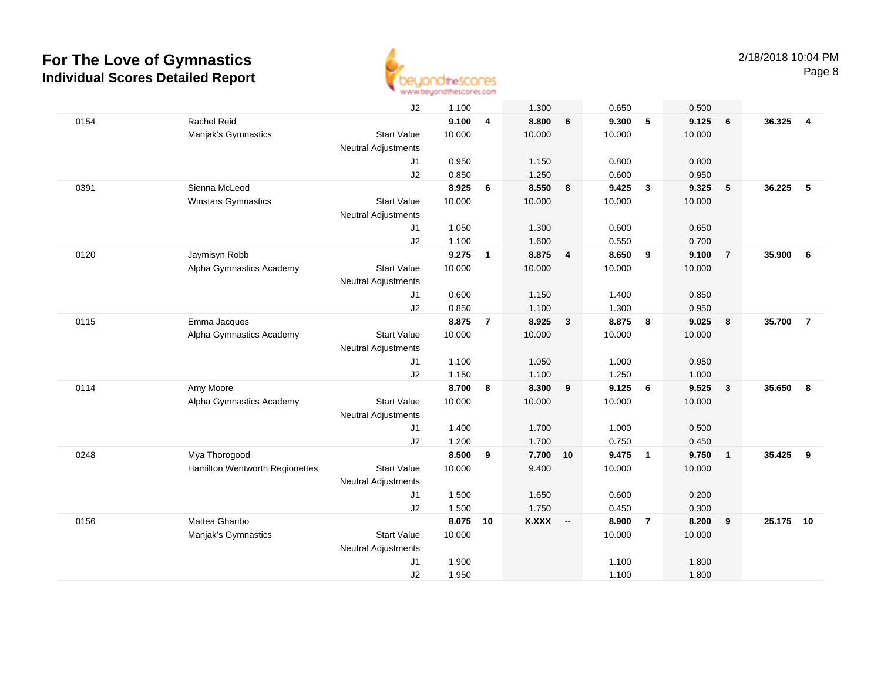

|      |                                | J2                         | 1.100  |                | 1.300        |                         | 0.650  |                         | 0.500  |                         |        |                |
|------|--------------------------------|----------------------------|--------|----------------|--------------|-------------------------|--------|-------------------------|--------|-------------------------|--------|----------------|
| 0154 | Rachel Reid                    |                            | 9.100  | 4              | 8.800        | 6                       | 9.300  | 5                       | 9.125  | 6                       | 36.325 | $\overline{4}$ |
|      | Manjak's Gymnastics            | <b>Start Value</b>         | 10.000 |                | 10.000       |                         | 10.000 |                         | 10.000 |                         |        |                |
|      |                                | <b>Neutral Adjustments</b> |        |                |              |                         |        |                         |        |                         |        |                |
|      |                                | J1                         | 0.950  |                | 1.150        |                         | 0.800  |                         | 0.800  |                         |        |                |
|      |                                | J2                         | 0.850  |                | 1.250        |                         | 0.600  |                         | 0.950  |                         |        |                |
| 0391 | Sienna McLeod                  |                            | 8.925  | 6              | 8.550        | $\overline{\mathbf{8}}$ | 9.425  | $\overline{\mathbf{3}}$ | 9.325  | 5                       | 36.225 | 5              |
|      | Winstars Gymnastics            | <b>Start Value</b>         | 10.000 |                | 10.000       |                         | 10.000 |                         | 10.000 |                         |        |                |
|      |                                | <b>Neutral Adjustments</b> |        |                |              |                         |        |                         |        |                         |        |                |
|      |                                | J1                         | 1.050  |                | 1.300        |                         | 0.600  |                         | 0.650  |                         |        |                |
|      |                                | J2                         | 1.100  |                | 1.600        |                         | 0.550  |                         | 0.700  |                         |        |                |
| 0120 | Jaymisyn Robb                  |                            | 9.275  | $\mathbf{1}$   | 8.875        | $\overline{\mathbf{4}}$ | 8.650  | 9                       | 9.100  | $\overline{7}$          | 35.900 | 6              |
|      | Alpha Gymnastics Academy       | <b>Start Value</b>         | 10.000 |                | 10.000       |                         | 10.000 |                         | 10.000 |                         |        |                |
|      |                                | <b>Neutral Adjustments</b> |        |                |              |                         |        |                         |        |                         |        |                |
|      |                                | J1                         | 0.600  |                | 1.150        |                         | 1.400  |                         | 0.850  |                         |        |                |
|      |                                | J2                         | 0.850  |                | 1.100        |                         | 1.300  |                         | 0.950  |                         |        |                |
| 0115 | Emma Jacques                   |                            | 8.875  | $\overline{7}$ | 8.925        | $\mathbf{3}$            | 8.875  | 8                       | 9.025  | 8                       | 35.700 | $\overline{7}$ |
|      | Alpha Gymnastics Academy       | <b>Start Value</b>         | 10.000 |                | 10.000       |                         | 10.000 |                         | 10.000 |                         |        |                |
|      |                                | <b>Neutral Adjustments</b> |        |                |              |                         |        |                         |        |                         |        |                |
|      |                                | J1                         | 1.100  |                | 1.050        |                         | 1.000  |                         | 0.950  |                         |        |                |
|      |                                | J2                         | 1.150  |                | 1.100        |                         | 1.250  |                         | 1.000  |                         |        |                |
| 0114 | Amy Moore                      |                            | 8.700  | 8              | 8.300        | 9                       | 9.125  | 6                       | 9.525  | $\overline{\mathbf{3}}$ | 35.650 | 8              |
|      | Alpha Gymnastics Academy       | <b>Start Value</b>         | 10.000 |                | 10.000       |                         | 10.000 |                         | 10.000 |                         |        |                |
|      |                                | <b>Neutral Adjustments</b> |        |                |              |                         |        |                         |        |                         |        |                |
|      |                                | J1                         | 1.400  |                | 1.700        |                         | 1.000  |                         | 0.500  |                         |        |                |
|      |                                | J <sub>2</sub>             | 1.200  |                | 1.700        |                         | 0.750  |                         | 0.450  |                         |        |                |
| 0248 | Mya Thorogood                  |                            | 8.500  | 9              | 7.700 10     |                         | 9.475  | $\overline{1}$          | 9.750  | $\overline{1}$          | 35.425 | 9              |
|      | Hamilton Wentworth Regionettes | <b>Start Value</b>         | 10.000 |                | 9.400        |                         | 10.000 |                         | 10.000 |                         |        |                |
|      |                                | Neutral Adjustments        |        |                |              |                         |        |                         |        |                         |        |                |
|      |                                | J1                         | 1.500  |                | 1.650        |                         | 0.600  |                         | 0.200  |                         |        |                |
|      |                                | J2                         | 1.500  |                | 1.750        |                         | 0.450  |                         | 0.300  |                         |        |                |
| 0156 | Mattea Gharibo                 |                            | 8.075  | 10             | <b>X.XXX</b> | $\sim$                  | 8.900  | $\overline{7}$          | 8.200  | 9                       | 25.175 | 10             |
|      | Manjak's Gymnastics            | <b>Start Value</b>         | 10.000 |                |              |                         | 10.000 |                         | 10.000 |                         |        |                |
|      |                                | <b>Neutral Adjustments</b> |        |                |              |                         |        |                         |        |                         |        |                |
|      |                                | J <sub>1</sub>             | 1.900  |                |              |                         | 1.100  |                         | 1.800  |                         |        |                |
|      |                                | J2                         | 1.950  |                |              |                         | 1.100  |                         | 1.800  |                         |        |                |